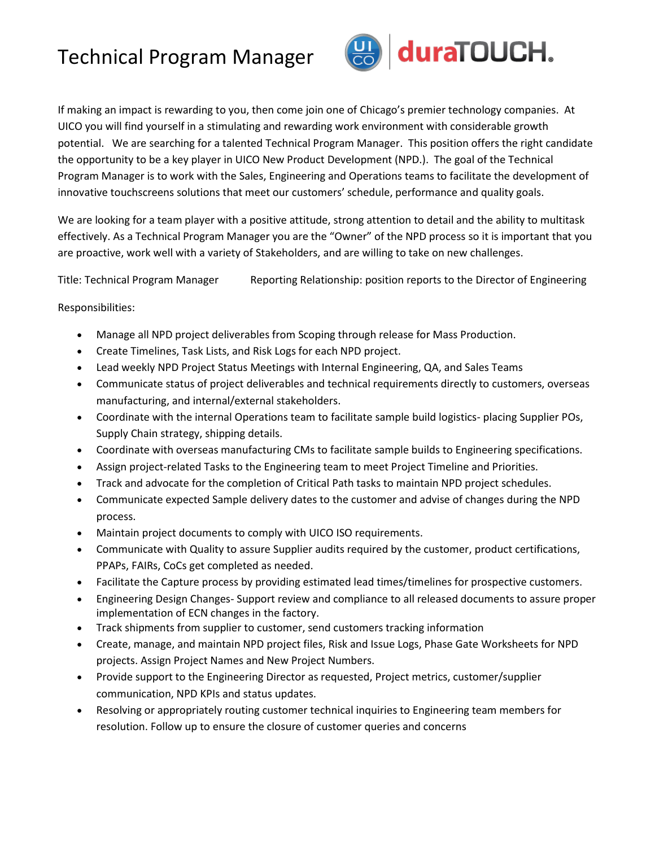## Technical Program Manager



If making an impact is rewarding to you, then come join one of Chicago's premier technology companies. At UICO you will find yourself in a stimulating and rewarding work environment with considerable growth potential. We are searching for a talented Technical Program Manager. This position offers the right candidate the opportunity to be a key player in UICO New Product Development (NPD.). The goal of the Technical Program Manager is to work with the Sales, Engineering and Operations teams to facilitate the development of innovative touchscreens solutions that meet our customers' schedule, performance and quality goals.

We are looking for a team player with a positive attitude, strong attention to detail and the ability to multitask effectively. As a Technical Program Manager you are the "Owner" of the NPD process so it is important that you are proactive, work well with a variety of Stakeholders, and are willing to take on new challenges.

Title: Technical Program Manager Reporting Relationship: position reports to the Director of Engineering

## Responsibilities:

- Manage all NPD project deliverables from Scoping through release for Mass Production.
- Create Timelines, Task Lists, and Risk Logs for each NPD project.
- Lead weekly NPD Project Status Meetings with Internal Engineering, QA, and Sales Teams
- Communicate status of project deliverables and technical requirements directly to customers, overseas manufacturing, and internal/external stakeholders.
- Coordinate with the internal Operations team to facilitate sample build logistics- placing Supplier POs, Supply Chain strategy, shipping details.
- Coordinate with overseas manufacturing CMs to facilitate sample builds to Engineering specifications.
- Assign project-related Tasks to the Engineering team to meet Project Timeline and Priorities.
- Track and advocate for the completion of Critical Path tasks to maintain NPD project schedules.
- Communicate expected Sample delivery dates to the customer and advise of changes during the NPD process.
- Maintain project documents to comply with UICO ISO requirements.
- Communicate with Quality to assure Supplier audits required by the customer, product certifications, PPAPs, FAIRs, CoCs get completed as needed.
- Facilitate the Capture process by providing estimated lead times/timelines for prospective customers.
- Engineering Design Changes- Support review and compliance to all released documents to assure proper implementation of ECN changes in the factory.
- Track shipments from supplier to customer, send customers tracking information
- Create, manage, and maintain NPD project files, Risk and Issue Logs, Phase Gate Worksheets for NPD projects. Assign Project Names and New Project Numbers.
- Provide support to the Engineering Director as requested, Project metrics, customer/supplier communication, NPD KPIs and status updates.
- Resolving or appropriately routing customer technical inquiries to Engineering team members for resolution. Follow up to ensure the closure of customer queries and concerns